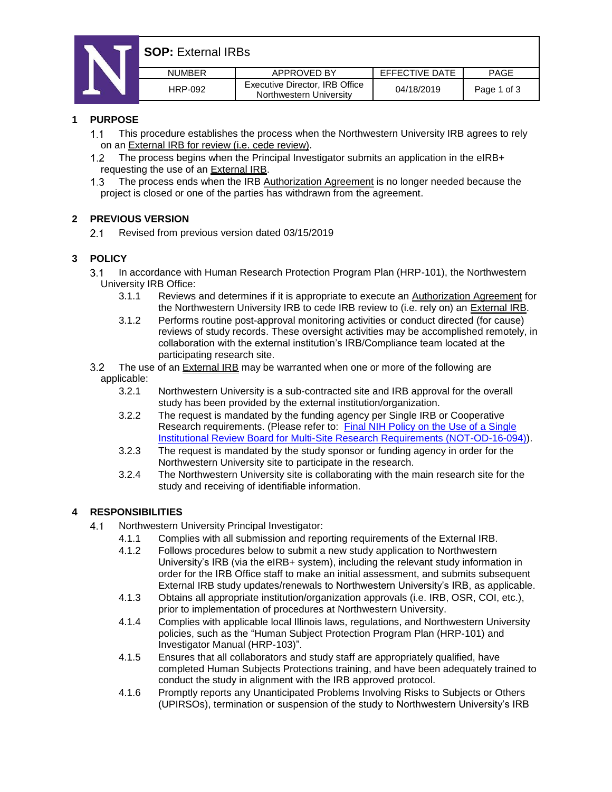# **SOP:** External IRBs

| <b>NUMBER</b> | APPROVED BY                                               | EFFECTIVE DATE | <b>PAGE</b> |
|---------------|-----------------------------------------------------------|----------------|-------------|
| HRP-092       | Executive Director, IRB Office<br>Northwestern University | 04/18/2019     | Page 1 of 3 |

#### **1 PURPOSE**

- $1.1$ This procedure establishes the process when the Northwestern University IRB agrees to rely on an External IRB for review (i.e. cede review).
- $1.2$ The process begins when the Principal Investigator submits an application in the eIRB+ requesting the use of an External IRB.
- The process ends when the IRB Authorization Agreement is no longer needed because the  $1.3<sub>1</sub>$ project is closed or one of the parties has withdrawn from the agreement.

#### **2 PREVIOUS VERSION**

 $2.1$ Revised from previous version dated 03/15/2019

### **3 POLICY**

- $3.1$ In accordance with Human Research Protection Program Plan (HRP-101), the Northwestern University IRB Office:
	- 3.1.1 Reviews and determines if it is appropriate to execute an Authorization Agreement for the Northwestern University IRB to cede IRB review to (i.e. rely on) an External IRB.
	- 3.1.2 Performs routine post-approval monitoring activities or conduct directed (for cause) reviews of study records. These oversight activities may be accomplished remotely, in collaboration with the external institution's IRB/Compliance team located at the participating research site.
- The use of an External IRB may be warranted when one or more of the following are  $3.2$ applicable:
	- 3.2.1 Northwestern University is a sub-contracted site and IRB approval for the overall study has been provided by the external institution/organization.
	- 3.2.2 The request is mandated by the funding agency per Single IRB or Cooperative Research requirements. (Please refer to: [Final NIH Policy on the Use of a Single](https://grants.nih.gov/grants/guide/notice-files/NOT-OD-16-094.html)  [Institutional Review Board for Multi-Site Research Requirements \(NOT-OD-16-094\)\).](https://grants.nih.gov/grants/guide/notice-files/NOT-OD-16-094.html)
	- 3.2.3 The request is mandated by the study sponsor or funding agency in order for the Northwestern University site to participate in the research.
	- 3.2.4 The Northwestern University site is collaborating with the main research site for the study and receiving of identifiable information.

#### **4 RESPONSIBILITIES**

- $4.1$ Northwestern University Principal Investigator:
	- 4.1.1 Complies with all submission and reporting requirements of the External IRB.
		- 4.1.2 Follows procedures below to submit a new study application to Northwestern University's IRB (via the eIRB+ system), including the relevant study information in order for the IRB Office staff to make an initial assessment, and submits subsequent External IRB study updates/renewals to Northwestern University's IRB, as applicable.
		- 4.1.3 Obtains all appropriate institution/organization approvals (i.e. IRB, OSR, COI, etc.), prior to implementation of procedures at Northwestern University.
		- 4.1.4 Complies with applicable local Illinois laws, regulations, and Northwestern University policies, such as the "Human Subject Protection Program Plan (HRP-101) and Investigator Manual (HRP-103)".
		- 4.1.5 Ensures that all collaborators and study staff are appropriately qualified, have completed Human Subjects Protections training, and have been adequately trained to conduct the study in alignment with the IRB approved protocol.
		- 4.1.6 Promptly reports any Unanticipated Problems Involving Risks to Subjects or Others (UPIRSOs), termination or suspension of the study to Northwestern University's IRB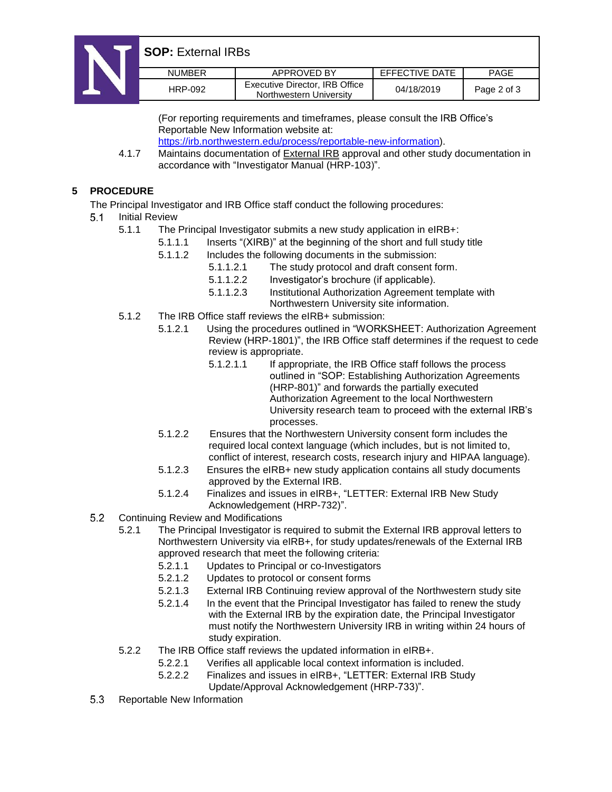

| <b>NUMBER</b> | APPROVED BY                                               | EFFECTIVE DATE | <b>PAGE</b> |
|---------------|-----------------------------------------------------------|----------------|-------------|
| HRP-092       | Executive Director, IRB Office<br>Northwestern University | 04/18/2019     | Page 2 of 3 |

(For reporting requirements and timeframes, please consult the IRB Office's Reportable New Information website at: [https://irb.northwestern.edu/process/reportable-new-information\)](https://irb.northwestern.edu/process/reportable-new-information).

4.1.7 Maintains documentation of External IRB approval and other study documentation in accordance with "Investigator Manual (HRP-103)".

### **5 PROCEDURE**

The Principal Investigator and IRB Office staff conduct the following procedures:

- $5.1$ Initial Review
	- 5.1.1 The Principal Investigator submits a new study application in eIRB+:
		- 5.1.1.1 Inserts "(XIRB)" at the beginning of the short and full study title
			- 5.1.1.2 Includes the following documents in the submission:
				- 5.1.1.2.1 The study protocol and draft consent form.
				- 5.1.1.2.2 Investigator's brochure (if applicable).
				- 5.1.1.2.3 Institutional Authorization Agreement template with Northwestern University site information.
	- 5.1.2 The IRB Office staff reviews the eIRB+ submission:
		- 5.1.2.1 Using the procedures outlined in "WORKSHEET: Authorization Agreement Review (HRP-1801)", the IRB Office staff determines if the request to cede review is appropriate.
			- 5.1.2.1.1 If appropriate, the IRB Office staff follows the process outlined in "SOP: Establishing Authorization Agreements (HRP-801)" and forwards the partially executed Authorization Agreement to the local Northwestern University research team to proceed with the external IRB's processes.
		- 5.1.2.2 Ensures that the Northwestern University consent form includes the required local context language (which includes, but is not limited to, conflict of interest, research costs, research injury and HIPAA language).
		- 5.1.2.3 Ensures the eIRB+ new study application contains all study documents approved by the External IRB.
		- 5.1.2.4 Finalizes and issues in eIRB+, "LETTER: External IRB New Study Acknowledgement (HRP-732)".
- $5.2$ Continuing Review and Modifications
	- 5.2.1 The Principal Investigator is required to submit the External IRB approval letters to Northwestern University via eIRB+, for study updates/renewals of the External IRB approved research that meet the following criteria:
		- 5.2.1.1 Updates to Principal or co-Investigators
		- 5.2.1.2 Updates to protocol or consent forms
		- 5.2.1.3 External IRB Continuing review approval of the Northwestern study site
		- 5.2.1.4 In the event that the Principal Investigator has failed to renew the study with the External IRB by the expiration date, the Principal Investigator must notify the Northwestern University IRB in writing within 24 hours of study expiration.
	- 5.2.2 The IRB Office staff reviews the updated information in eIRB+.
		- 5.2.2.1 Verifies all applicable local context information is included.
		- 5.2.2.2 Finalizes and issues in eIRB+, "LETTER: External IRB Study Update/Approval Acknowledgement (HRP-733)".
- 5.3 Reportable New Information